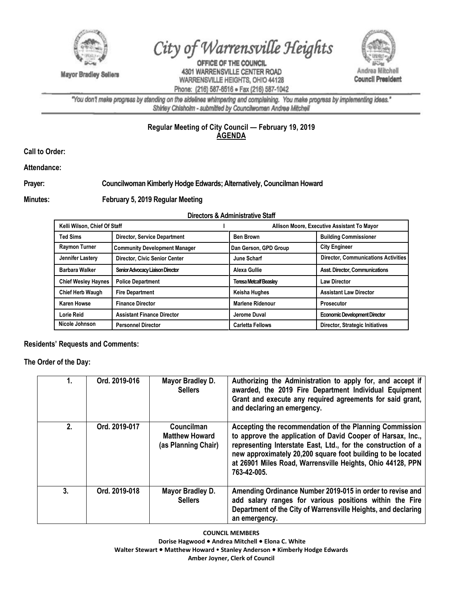

**Mayor Bradley Sellers** 

City of Warrensville Heights

OFFICE OF THE COUNCIL 4301 WARRENSVILLE CENTER ROAD WARRENSVILLE HEIGHTS, OHIO 44128 Phone: (216) 587-6516 · Fax (216) 587-1042



"You don't make progress by standing on the sidelines whimpering and complaining. You make progress by implementing ideas." Shirley Chisholm - submitted by Councilwoman Andrea Mitchell

## **Regular Meeting of City Council — February 19, 2019 AGENDA**

**Call to Order:** 

**Attendance:**

## **Prayer: Councilwoman Kimberly Hodge Edwards; Alternatively, Councilman Howard**

## **Minutes: February 5, 2019 Regular Meeting**

## **Directors & Administrative Staff**

| Kelli Wilson, Chief Of Staff |                                      | Allison Moore, Executive Assistant To Mayor |                                            |
|------------------------------|--------------------------------------|---------------------------------------------|--------------------------------------------|
| <b>Ted Sims</b>              | <b>Director, Service Department</b>  | <b>Ben Brown</b>                            | <b>Building Commissioner</b>               |
| <b>Raymon Turner</b>         | <b>Community Development Manager</b> | Dan Gerson, GPD Group                       | <b>City Engineer</b>                       |
| Jennifer Lastery             | <b>Director, Civic Senior Center</b> | June Scharf                                 | <b>Director, Communications Activities</b> |
| <b>Barbara Walker</b>        | Senior Advocacy Liaison Director     | Alexa Gullie                                | Asst. Director, Communications             |
| <b>Chief Wesley Haynes</b>   | <b>Police Department</b>             | <b>Teresa Metcalf Beasley</b>               | <b>Law Director</b>                        |
| <b>Chief Herb Waugh</b>      | <b>Fire Department</b>               | Keisha Hughes                               | <b>Assistant Law Director</b>              |
| <b>Karen Howse</b>           | <b>Finance Director</b>              | <b>Marlene Ridenour</b>                     | <b>Prosecutor</b>                          |
| Lorie Reid                   | <b>Assistant Finance Director</b>    | Jerome Duval                                | <b>Economic Development Director</b>       |
| Nicole Johnson               | <b>Personnel Director</b>            | <b>Carletta Fellows</b>                     | Director, Strategic Initiatives            |

**Residents' Requests and Comments:** 

**The Order of the Day:**

| 1. | Ord. 2019-016 | Mayor Bradley D.<br><b>Sellers</b>                                | Authorizing the Administration to apply for, and accept if<br>awarded, the 2019 Fire Department Individual Equipment<br>Grant and execute any required agreements for said grant,<br>and declaring an emergency.                                                                                                                    |
|----|---------------|-------------------------------------------------------------------|-------------------------------------------------------------------------------------------------------------------------------------------------------------------------------------------------------------------------------------------------------------------------------------------------------------------------------------|
| 2. | Ord. 2019-017 | <b>Councilman</b><br><b>Matthew Howard</b><br>(as Planning Chair) | Accepting the recommendation of the Planning Commission<br>to approve the application of David Cooper of Harsax, Inc.,<br>representing Interstate East, Ltd., for the construction of a<br>new approximately 20,200 square foot building to be located<br>at 26901 Miles Road, Warrensville Heights, Ohio 44128, PPN<br>763-42-005. |
| 3. | Ord. 2019-018 | Mayor Bradley D.<br><b>Sellers</b>                                | Amending Ordinance Number 2019-015 in order to revise and<br>add salary ranges for various positions within the Fire<br>Department of the City of Warrensville Heights, and declaring<br>an emergency.                                                                                                                              |